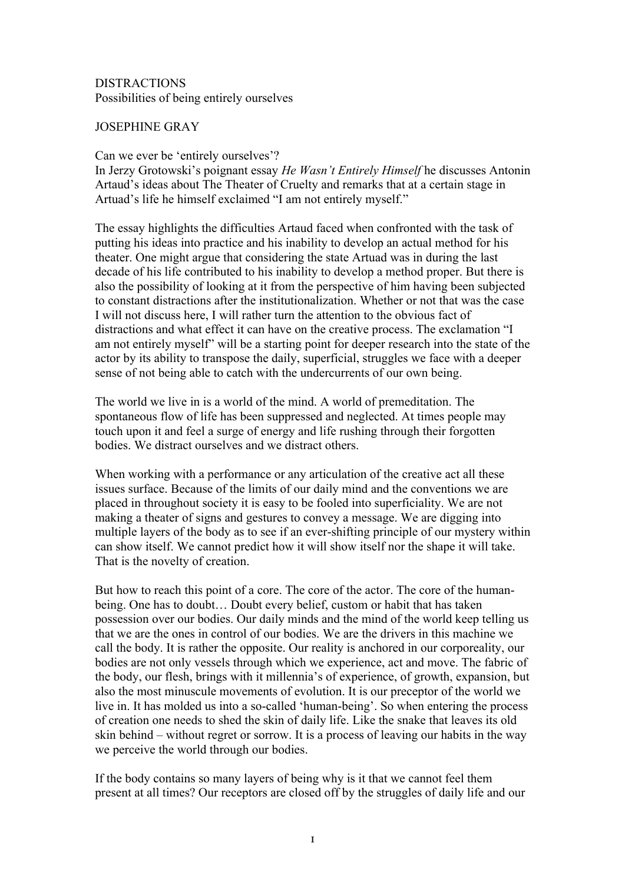## DISTRACTIONS Possibilities of being entirely ourselves

## JOSEPHINE GRAY

## Can we ever be 'entirely ourselves'?

In Jerzy Grotowski's poignant essay *He Wasn't Entirely Himself* he discusses Antonin Artaud's ideas about The Theater of Cruelty and remarks that at a certain stage in Artuad's life he himself exclaimed "I am not entirely myself."

The essay highlights the difficulties Artaud faced when confronted with the task of putting his ideas into practice and his inability to develop an actual method for his theater. One might argue that considering the state Artuad was in during the last decade of his life contributed to his inability to develop a method proper. But there is also the possibility of looking at it from the perspective of him having been subjected to constant distractions after the institutionalization. Whether or not that was the case I will not discuss here, I will rather turn the attention to the obvious fact of distractions and what effect it can have on the creative process. The exclamation "I am not entirely myself" will be a starting point for deeper research into the state of the actor by its ability to transpose the daily, superficial, struggles we face with a deeper sense of not being able to catch with the undercurrents of our own being.

The world we live in is a world of the mind. A world of premeditation. The spontaneous flow of life has been suppressed and neglected. At times people may touch upon it and feel a surge of energy and life rushing through their forgotten bodies. We distract ourselves and we distract others.

When working with a performance or any articulation of the creative act all these issues surface. Because of the limits of our daily mind and the conventions we are placed in throughout society it is easy to be fooled into superficiality. We are not making a theater of signs and gestures to convey a message. We are digging into multiple layers of the body as to see if an ever-shifting principle of our mystery within can show itself. We cannot predict how it will show itself nor the shape it will take. That is the novelty of creation.

But how to reach this point of a core. The core of the actor. The core of the humanbeing. One has to doubt… Doubt every belief, custom or habit that has taken possession over our bodies. Our daily minds and the mind of the world keep telling us that we are the ones in control of our bodies. We are the drivers in this machine we call the body. It is rather the opposite. Our reality is anchored in our corporeality, our bodies are not only vessels through which we experience, act and move. The fabric of the body, our flesh, brings with it millennia's of experience, of growth, expansion, but also the most minuscule movements of evolution. It is our preceptor of the world we live in. It has molded us into a so-called 'human-being'. So when entering the process of creation one needs to shed the skin of daily life. Like the snake that leaves its old skin behind – without regret or sorrow. It is a process of leaving our habits in the way we perceive the world through our bodies.

If the body contains so many layers of being why is it that we cannot feel them present at all times? Our receptors are closed off by the struggles of daily life and our